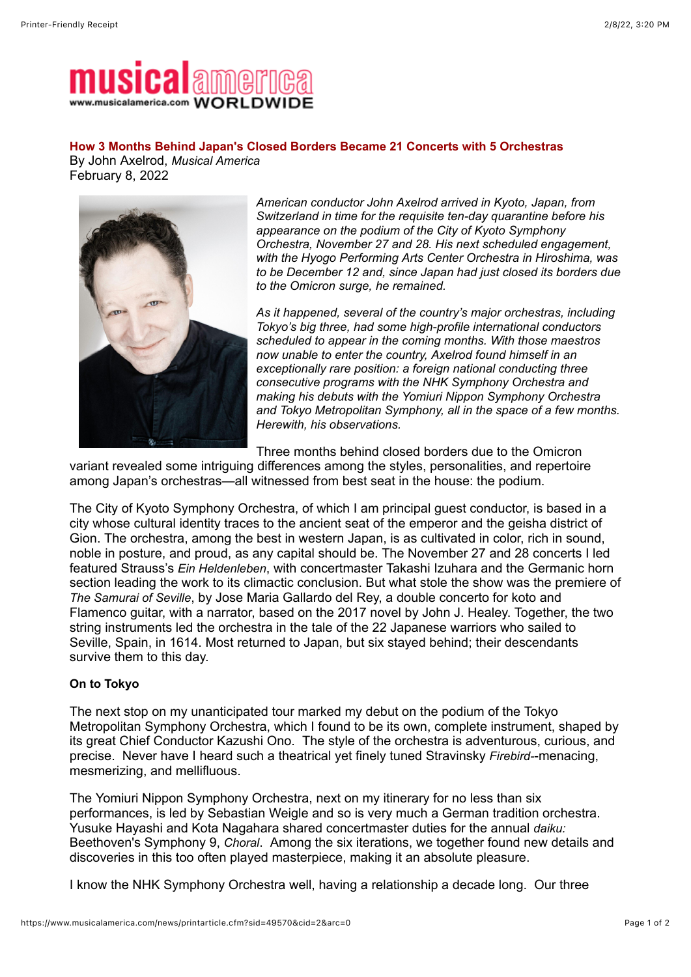

## **How 3 Months Behind Japan's Closed Borders Became 21 Concerts with 5 Orchestras**

By John Axelrod, *Musical America* February 8, 2022



*American conductor John Axelrod arrived in Kyoto, Japan, from Switzerland in time for the requisite ten-day quarantine before his appearance on the podium of the City of Kyoto Symphony Orchestra, November 27 and 28. His next scheduled engagement, with the Hyogo Performing Arts Center Orchestra in Hiroshima, was to be December 12 and, since Japan had just closed its borders due to the Omicron surge, he remained.*

*As it happened, several of the country's major orchestras, including Tokyo's big three, had some high-profile international conductors scheduled to appear in the coming months. With those maestros now unable to enter the country, Axelrod found himself in an exceptionally rare position: a foreign national conducting three consecutive programs with the NHK Symphony Orchestra and making his debuts with the Yomiuri Nippon Symphony Orchestra and Tokyo Metropolitan Symphony, all in the space of a few months. Herewith, his observations.*

Three months behind closed borders due to the Omicron

variant revealed some intriguing differences among the styles, personalities, and repertoire among Japan's orchestras—all witnessed from best seat in the house: the podium.

The City of Kyoto Symphony Orchestra, of which I am principal guest conductor, is based in a city whose cultural identity traces to the ancient seat of the emperor and the geisha district of Gion. The orchestra, among the best in western Japan, is as cultivated in color, rich in sound, noble in posture, and proud, as any capital should be. The November 27 and 28 concerts I led featured Strauss's *Ein Heldenleben*, with concertmaster Takashi Izuhara and the Germanic horn section leading the work to its climactic conclusion. But what stole the show was the premiere of *The Samurai of Seville*, by Jose Maria Gallardo del Rey, a double concerto for koto and Flamenco guitar, with a narrator, based on the 2017 novel by John J. Healey. Together, the two string instruments led the orchestra in the tale of the 22 Japanese warriors who sailed to Seville, Spain, in 1614. Most returned to Japan, but six stayed behind; their descendants survive them to this day.

## **On to Tokyo**

The next stop on my unanticipated tour marked my debut on the podium of the Tokyo Metropolitan Symphony Orchestra, which I found to be its own, complete instrument, shaped by its great Chief Conductor Kazushi Ono. The style of the orchestra is adventurous, curious, and precise. Never have I heard such a theatrical yet finely tuned Stravinsky *Firebird-*-menacing, mesmerizing, and mellifluous.

The Yomiuri Nippon Symphony Orchestra, next on my itinerary for no less than six performances, is led by Sebastian Weigle and so is very much a German tradition orchestra. Yusuke Hayashi and Kota Nagahara shared concertmaster duties for the annual *daiku:* Beethoven's Symphony 9, *Choral*. Among the six iterations, we together found new details and discoveries in this too often played masterpiece, making it an absolute pleasure.

I know the NHK Symphony Orchestra well, having a relationship a decade long. Our three